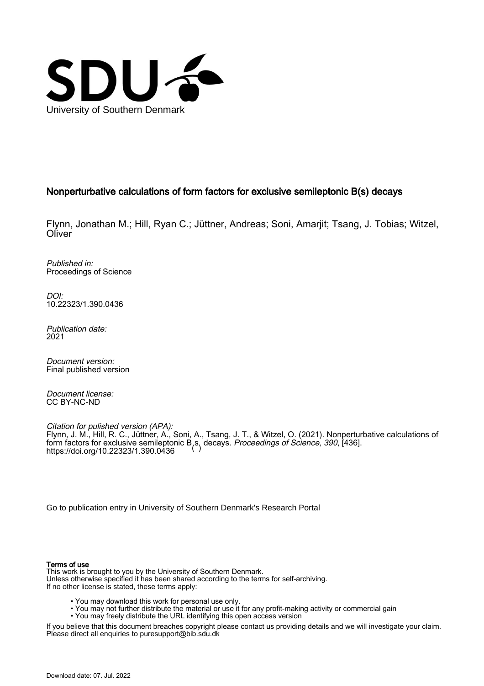

# Nonperturbative calculations of form factors for exclusive semileptonic B(s) decays

Flynn, Jonathan M.; Hill, Ryan C.; Jüttner, Andreas; Soni, Amarjit; Tsang, J. Tobias; Witzel, **Oliver** 

Published in: Proceedings of Science

DOI: [10.22323/1.390.0436](https://doi.org/10.22323/1.390.0436)

Publication date: 2021

Document version: Final published version

Document license: CC BY-NC-ND

Citation for pulished version (APA): Flynn, J. M., Hill, R. C., Jüttner, A., Soni, A., Tsang, J. T., & Witzel, O. (2021). Nonperturbative calculations of [form factors for exclusive semilepton](https://doi.org/10.22323/1.390.0436)ic B<sub>,</sub>s, decays. *Proceedings of Science, 390*, [436].<br>https://doi.org/10.22323/1.390.0436 https://doi.org/10.22323/1.390.0436

[Go to publication entry in University of Southern Denmark's Research Portal](https://portal.findresearcher.sdu.dk/en/publications/6dc96547-d9a7-4cd0-bfae-907e9042bbd0)

#### Terms of use

This work is brought to you by the University of Southern Denmark. Unless otherwise specified it has been shared according to the terms for self-archiving. If no other license is stated, these terms apply:

- You may download this work for personal use only.
- You may not further distribute the material or use it for any profit-making activity or commercial gain
- You may freely distribute the URL identifying this open access version

If you believe that this document breaches copyright please contact us providing details and we will investigate your claim. Please direct all enquiries to puresupport@bib.sdu.dk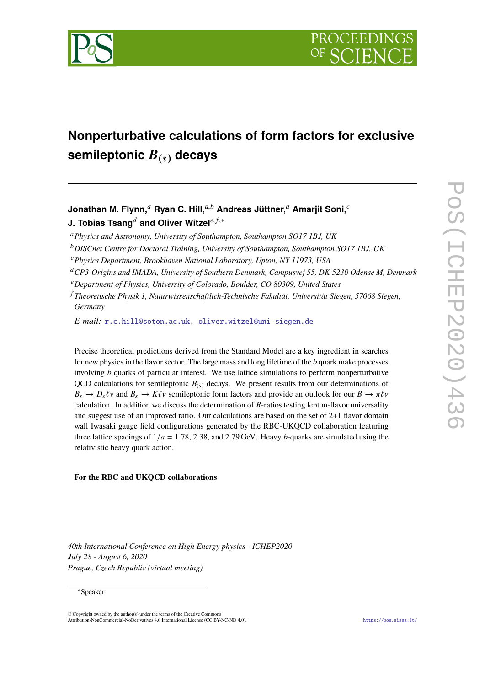

# **Nonperturbative calculations of form factors for exclusive semileptonic** B(s) **decays**

# **Jonathan M. Flynn,***<sup>a</sup>* **Ryan C. Hill,***a*,*<sup>b</sup>* **Andreas Jüttner,***<sup>a</sup>* **Amarjit Soni,***<sup>c</sup> J.* **Tobias Tsang<sup>***d***</sup> and Oliver Witzel<sup>***e, f,∗***</sup></sub>**

- <sup>a</sup>*Physics and Astronomy, University of Southampton, Southampton SO17 1BJ, UK*
- <sup>b</sup>*DISCnet Centre for Doctoral Training, University of Southampton, Southampton SO17 1BJ, UK*
- <sup>c</sup>*Physics Department, Brookhaven National Laboratory, Upton, NY 11973, USA*
- <sup>d</sup>*CP3-Origins and IMADA, University of Southern Denmark, Campusvej 55, DK-5230 Odense M, Denmark*
- <sup>e</sup>*Department of Physics, University of Colorado, Boulder, CO 80309, United States*
- <sup>f</sup> *Theoretische Physik 1, Naturwissenschaftlich-Technische Fakultät, Universität Siegen, 57068 Siegen, Germany*

*E-mail:* [r.c.hill@soton.ac.uk,](mailto:r.c.hill@soton.ac.uk) [oliver.witzel@uni-siegen.de](mailto:oliver.witzel@uni-siegen.de)

Precise theoretical predictions derived from the Standard Model are a key ingredient in searches for new physics in the flavor sector. The large mass and long lifetime of the *b* quark make processes involving *b* quarks of particular interest. We use lattice simulations to perform nonperturbative QCD calculations for semileptonic  $B_{(s)}$  decays. We present results from our determinations of  $B_s \to D_s \ell \nu$  and  $B_s \to K \ell \nu$  semileptonic form factors and provide an outlook for our  $B \to \pi \ell \nu$ calculation. In addition we discuss the determination of *R*-ratios testing lepton-flavor universality and suggest use of an improved ratio. Our calculations are based on the set of 2+1 flavor domain wall Iwasaki gauge field configurations generated by the RBC-UKQCD collaboration featuring three lattice spacings of <sup>1</sup>/*<sup>a</sup>* <sup>=</sup> <sup>1</sup>.78, <sup>2</sup>.38, and <sup>2</sup>.<sup>79</sup> GeV. Heavy *<sup>b</sup>*-quarks are simulated using the relativistic heavy quark action.

#### **For the RBC and UKQCD collaborations**

*40th International Conference on High Energy physics - ICHEP2020 July 28 - August 6, 2020 Prague, Czech Republic (virtual meeting)*

#### ∗Speaker

© Copyright owned by the author(s) under the terms of the Creative Commons Attribution-NonCommercial-NoDerivatives 4.0 International License (CC BY-NC-ND 4.0). <https://pos.sissa.it/>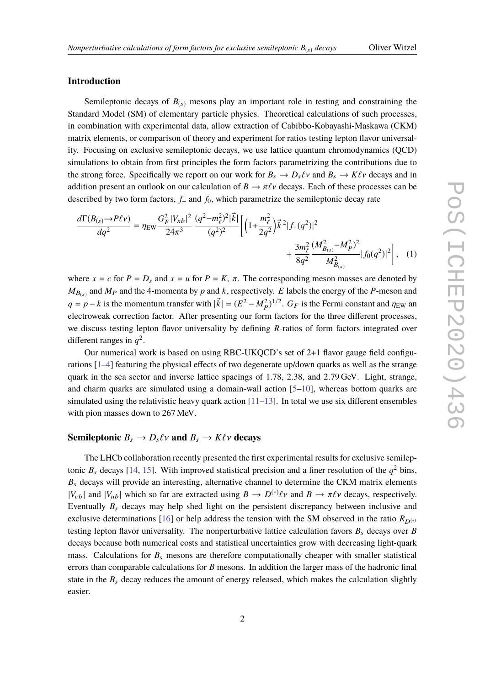# **Introduction**

Semileptonic decays of  $B_{(s)}$  mesons play an important role in testing and constraining the Standard Model (SM) of elementary particle physics. Theoretical calculations of such processes, in combination with experimental data, allow extraction of Cabibbo-Kobayashi-Maskawa (CKM) matrix elements, or comparison of theory and experiment for ratios testing lepton flavor universality. Focusing on exclusive semileptonic decays, we use lattice quantum chromodynamics (QCD) simulations to obtain from first principles the form factors parametrizing the contributions due to the strong force. Specifically we report on our work for  $B_s \to D_s \ell \nu$  and  $B_s \to K \ell \nu$  decays and in addition present an outlook on our calculation of  $B \to \pi \ell \nu$  decays. Each of these processes can be described by two form factors,  $f_+$  and  $f_0$ , which parametrize the semileptonic decay rate

<span id="page-2-0"></span>
$$
\frac{d\Gamma(B_{(s)} \to P\ell \nu)}{dq^2} = \eta_{\rm EW} \frac{G_F^2 |V_{xb}|^2}{24\pi^3} \frac{(q^2 - m_\ell^2)^2 |\vec{k}|}{(q^2)^2} \left[ \left( 1 + \frac{m_\ell^2}{2q^2} \right) \vec{k}^2 |f_+(q^2)|^2 \right. \\ \left. + \frac{3m_\ell^2}{8q^2} \frac{(M_{B_{(s)}}^2 - M_P^2)^2}{M_{B_{(s)}}^2} |f_0(q^2)|^2 \right], \quad (1)
$$

where  $x = c$  for  $P = D_s$  and  $x = u$  for  $P = K$ ,  $\pi$ . The corresponding meson masses are denoted by  $M_{B_{(s)}}$  and  $M_P$  and the 4-momenta by *p* and *k*, respectively. *E* labels the energy of the *P*-meson and  $q = p - k$  is the momentum transfer with  $|\vec{k}| = (E^2 - M_P^2)^{1/2}$ .  $G_F$  is the Fermi constant and  $\eta_{EW}$  and electroweak correction fector. After presenting our form fectors for the three different presences electroweak correction factor. After presenting our form factors for the three different processes, we discuss testing lepton flavor universality by defining *R*-ratios of form factors integrated over different ranges in  $q^2$ .

Our numerical work is based on using RBC-UKQCD's set of 2+1 flavor gauge field configurations [\[1–](#page-6-0)[4\]](#page-6-1) featuring the physical effects of two degenerate up/down quarks as well as the strange quark in the sea sector and inverse lattice spacings of 1.78, 2.38, and <sup>2</sup>.<sup>79</sup> GeV. Light, strange, and charm quarks are simulated using a domain-wall action [\[5–](#page-6-2)[10\]](#page-6-3), whereas bottom quarks are simulated using the relativistic heavy quark action  $[11-13]$  $[11-13]$ . In total we use six different ensembles with pion masses down to 267 MeV.

# **Semileptonic**  $B_s \to D_s \ell \nu$  and  $B_s \to K \ell \nu$  decays

The LHCb collaboration recently presented the first experimental results for exclusive semileptonic  $B_s$  decays [\[14,](#page-6-6) [15\]](#page-6-7). With improved statistical precision and a finer resolution of the  $q^2$  bins,  $B_s$  decays will provide an interesting, alternative channel to determine the CKM matrix elements  $|V_{cb}|$  and  $|V_{ub}|$  which so far are extracted using  $B \to D^{(*)}\ell \nu$  and  $B \to \pi \ell \nu$  decays, respectively. Eventually  $B_s$  decays may help shed light on the persistent discrepancy between inclusive and exclusive determinations [\[16\]](#page-6-8) or help address the tension with the SM observed in the ratio  $R_{D^{(*)}}$ testing lepton flavor universality. The nonperturbative lattice calculation favors  $B_s$  decays over  $B$ decays because both numerical costs and statistical uncertainties grow with decreasing light-quark mass. Calculations for  $B_s$  mesons are therefore computationally cheaper with smaller statistical errors than comparable calculations for *B* mesons. In addition the larger mass of the hadronic final state in the  $B_s$  decay reduces the amount of energy released, which makes the calculation slightly easier.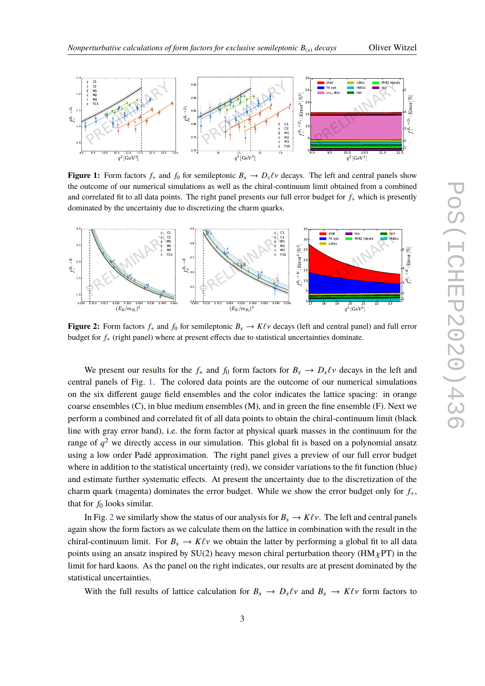

<span id="page-3-0"></span>

**Figure 1:** Form factors  $f_+$  and  $f_0$  for semileptonic  $B_s \to D_s \ell \nu$  decays. The left and central panels show the outcome of our numerical simulations as well as the chiral-continuum limit obtained from a combined and correlated fit to all data points. The right panel presents our full error budget for *f*<sup>+</sup> which is presently dominated by the uncertainty due to discretizing the charm quarks.

<span id="page-3-1"></span>

**Figure 2:** Form factors  $f_+$  and  $f_0$  for semileptonic  $B_s \to K\ell\nu$  decays (left and central panel) and full error budget for *f*<sup>+</sup> (right panel) where at present effects due to statistical uncertainties dominate.

We present our results for the  $f_+$  and  $f_0$  form factors for  $B_s \to D_s \ell \nu$  decays in the left and central panels of Fig. [1.](#page-3-0) The colored data points are the outcome of our numerical simulations on the six different gauge field ensembles and the color indicates the lattice spacing: in orange coarse ensembles (C), in blue medium ensembles (M), and in green the fine ensemble (F). Next we perform a combined and correlated fit of all data points to obtain the chiral-continuum limit (black line with gray error band), i.e. the form factor at physical quark masses in the continuum for the range of *q* <sup>2</sup> we directly access in our simulation. This global fit is based on a polynomial ansatz using a low order Padé approximation. The right panel gives a preview of our full error budget where in addition to the statistical uncertainty (red), we consider variations to the fit function (blue) and estimate further systematic effects. At present the uncertainty due to the discretization of the charm quark (magenta) dominates the error budget. While we show the error budget only for  $f_{+}$ , that for  $f_0$  looks similar.

In Fig. [2](#page-3-1) we similarly show the status of our analysis for  $B_s \to K\ell\nu$ . The left and central panels again show the form factors as we calculate them on the lattice in combination with the result in the chiral-continuum limit. For  $B_s \to K\ell\nu$  we obtain the latter by performing a global fit to all data points using an ansatz inspired by SU(2) heavy meson chiral perturbation theory ( $HM_{\chi}PT$ ) in the limit for hard kaons. As the panel on the right indicates, our results are at present dominated by the statistical uncertainties.

With the full results of lattice calculation for  $B_s \to D_s \ell \nu$  and  $B_s \to K \ell \nu$  form factors to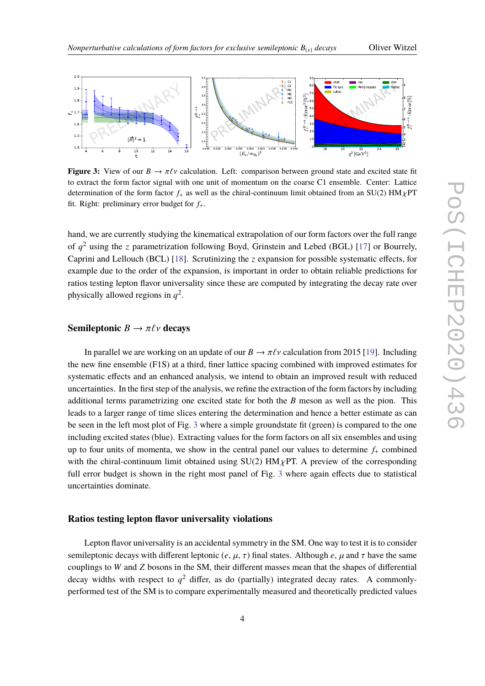<span id="page-4-0"></span>

**Figure 3:** View of our  $B \to \pi \ell \nu$  calculation. Left: comparison between ground state and excited state fit to extract the form factor signal with one unit of momentum on the coarse C1 ensemble. Center: Lattice determination of the form factor  $f_{+}$  as well as the chiral-continuum limit obtained from an SU(2) HM $\chi$ PT fit. Right: preliminary error budget for *f*+.

hand, we are currently studying the kinematical extrapolation of our form factors over the full range of *q* <sup>2</sup> using the *z* parametrization following Boyd, Grinstein and Lebed (BGL) [\[17\]](#page-6-9) or Bourrely, Caprini and Lellouch (BCL) [\[18\]](#page-6-10). Scrutinizing the *z* expansion for possible systematic effects, for example due to the order of the expansion, is important in order to obtain reliable predictions for ratios testing lepton flavor universality since these are computed by integrating the decay rate over physically allowed regions in  $q^2$ .

# **Semileptonic**  $B \to \pi \ell \nu$  **decays**

In parallel we are working on an update of our  $B \to \pi \ell \nu$  calculation from 2015 [\[19\]](#page-6-11). Including the new fine ensemble (F1S) at a third, finer lattice spacing combined with improved estimates for systematic effects and an enhanced analysis, we intend to obtain an improved result with reduced uncertainties. In the first step of the analysis, we refine the extraction of the form factors by including additional terms parametrizing one excited state for both the *B* meson as well as the pion. This leads to a larger range of time slices entering the determination and hence a better estimate as can be seen in the left most plot of Fig. [3](#page-4-0) where a simple groundstate fit (green) is compared to the one including excited states (blue). Extracting values for the form factors on all six ensembles and using up to four units of momenta, we show in the central panel our values to determine  $f<sub>+</sub>$  combined with the chiral-continuum limit obtained using  $SU(2)$  HM $\chi$ PT. A preview of the corresponding full error budget is shown in the right most panel of Fig. [3](#page-4-0) where again effects due to statistical uncertainties dominate.

#### **Ratios testing lepton flavor universality violations**

Lepton flavor universality is an accidental symmetry in the SM. One way to test it is to consider semileptonic decays with different leptonic  $(e, \mu, \tau)$  final states. Although  $e, \mu$  and  $\tau$  have the same couplings to *W* and *Z* bosons in the SM, their different masses mean that the shapes of differential decay widths with respect to  $q^2$  differ, as do (partially) integrated decay rates. A commonlyperformed test of the SM is to compare experimentally measured and theoretically predicted values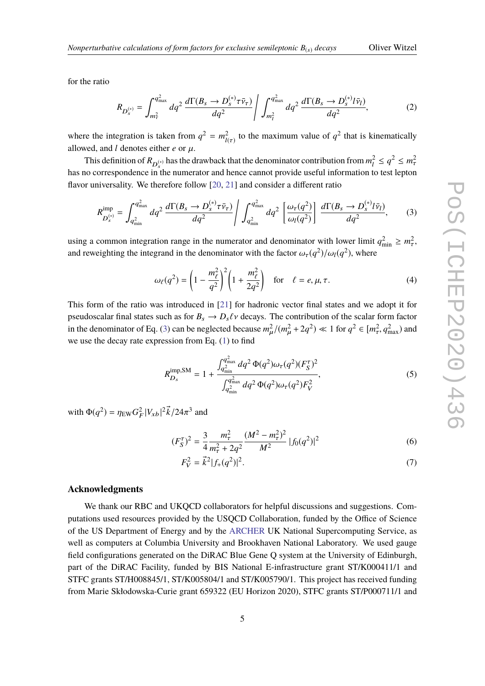for the ratio

$$
R_{D_{s}^{(*)}} = \int_{m_{\tau}^{2}}^{q_{\text{max}}^{2}} dq^{2} \frac{d\Gamma(B_{s} \to D_{s}^{(*)}\tau\bar{v}_{\tau})}{dq^{2}} \Bigg/ \int_{m_{l}^{2}}^{q_{\text{max}}^{2}} dq^{2} \frac{d\Gamma(B_{s} \to D_{s}^{(*)}l\bar{v}_{l})}{dq^{2}}, \tag{2}
$$

where the integration is taken from  $q^2 = m_{\mu}^2$  $l(\tau)$ to the maximum value of  $q^2$  that is kinematically allowed, and  $l$  denotes either  $e$  or  $\mu$ .

This definition of  $R_{D_{\mathcal{S}}^{(*)}}$  has the drawback that the denominator contribution from  $m_l^2$  $q^2 \leq q^2 \leq m_\tau^2$ has no correspondence in the numerator and hence cannot provide useful information to test lepton flavor universality. We therefore follow [\[20,](#page-6-12) [21\]](#page-6-13) and consider a different ratio

<span id="page-5-0"></span>
$$
R_{D_s^{(*)}}^{\text{imp}} = \int_{q_{\text{min}}^2}^{q_{\text{max}}^2} dq^2 \frac{d\Gamma(B_s \to D_s^{(*)}\tau\bar{v}_\tau)}{dq^2} / \int_{q_{\text{min}}^2}^{q_{\text{max}}^2} dq^2 \left[\frac{\omega_\tau(q^2)}{\omega_l(q^2)}\right] \frac{d\Gamma(B_s \to D_s^{(*)}l\bar{v}_l)}{dq^2},\tag{3}
$$

using a common integration range in the numerator and denominator with lower limit  $q_{\min}^2 \ge m_\tau^2$ , and reweighting the integrand in the denominator with the factor  $\omega_{\tau}(q^2)/\omega_l(q^2)$ , where

$$
\omega_{\ell}(q^2) = \left(1 - \frac{m_{\ell}^2}{q^2}\right)^2 \left(1 + \frac{m_{\ell}^2}{2q^2}\right) \quad \text{for} \quad \ell = e, \mu, \tau. \tag{4}
$$

This form of the ratio was introduced in [\[21\]](#page-6-13) for hadronic vector final states and we adopt it for pseudoscalar final states such as for  $B_s \to D_s \ell \nu$  decays. The contribution of the scalar form factor in the denominator of Eq. [\(3\)](#page-5-0) can be neglected because  $m_\mu^2$  $\overline{a}$  $/(m_\mu^2 + 2q^2) \ll 1$  for  $q^2 \in [m_\tau^2]$  $\sigma_{\tau}^2$ ,  $q_{\text{max}}^2$ ) and we use the decay rate expression from Eq.  $(1)$  to find

$$
R_{D_s}^{\rm imp,SM} = 1 + \frac{\int_{q_{\rm min}^2}^{q_{\rm max}^2} dq^2 \Phi(q^2) \omega_\tau(q^2) (F_S^\tau)^2}{\int_{q_{\rm min}^2}^{q_{\rm max}^2} dq^2 \Phi(q^2) \omega_\tau(q^2) F_V^2},\tag{5}
$$

with  $\Phi(q^2) = \eta_{\text{EW}} G_I^2$  $\frac{2}{F}|V_{xb}|^2 \vec{k}/24\pi^3$  and

$$
(F_S^{\tau})^2 = \frac{3}{4} \frac{m_{\tau}^2}{m_{\tau}^2 + 2q^2} \frac{(M^2 - m_{\tau}^2)^2}{M^2} |f_0(q^2)|^2
$$
 (6)

$$
F_V^2 = \vec{k}^2 |f_+(q^2)|^2. \tag{7}
$$

#### **Acknowledgments**

We thank our RBC and UKQCD collaborators for helpful discussions and suggestions. Computations used resources provided by the USQCD Collaboration, funded by the Office of Science of the US Department of Energy and by the [ARCHER](http://www.archer.ac.uk) UK National Supercomputing Service, as well as computers at Columbia University and Brookhaven National Laboratory. We used gauge field configurations generated on the DiRAC Blue Gene Q system at the University of Edinburgh, part of the DiRAC Facility, funded by BIS National E-infrastructure grant ST/K000411/1 and STFC grants ST/H008845/1, ST/K005804/1 and ST/K005790/1. This project has received funding from Marie Skłodowska-Curie grant 659322 (EU Horizon 2020), STFC grants ST/P000711/1 and